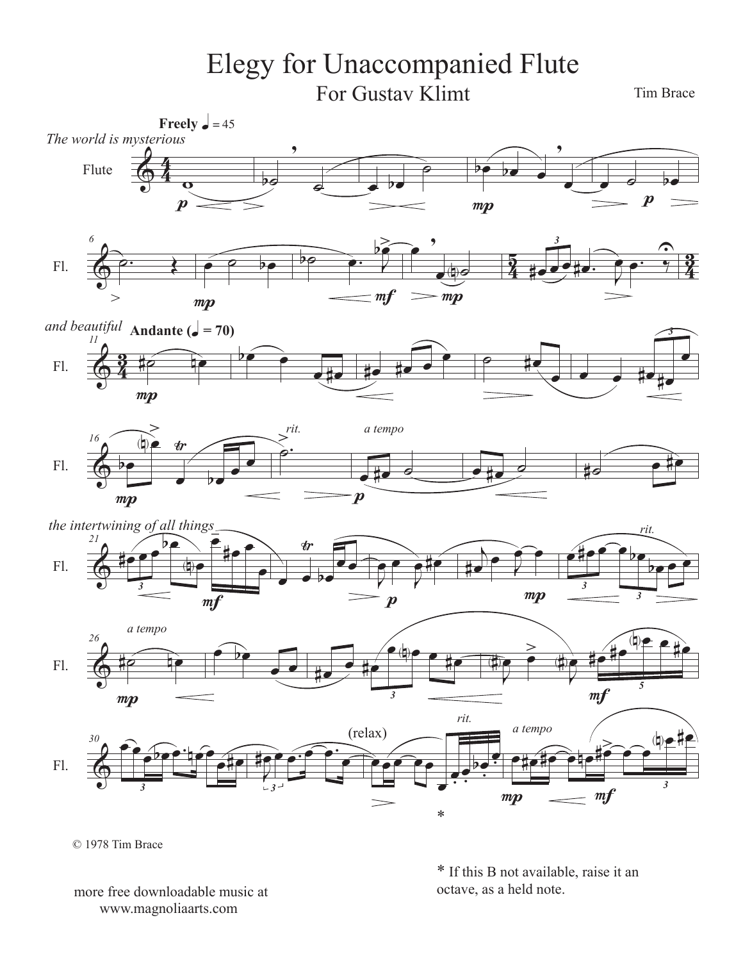## Elegy for Unaccompanied Flute For Gustav Klimt

Tim Brace















<sup>© 1978</sup> Tim Brace

more free downloadable music at www.magnoliaarts.com

\* If this B not available, raise it an octave, as a held note.